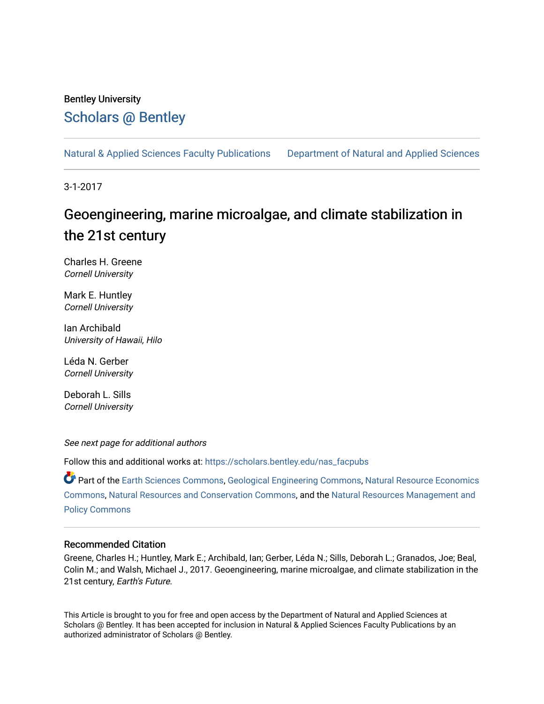# Bentley University [Scholars @ Bentley](https://scholars.bentley.edu/)

[Natural & Applied Sciences Faculty Publications](https://scholars.bentley.edu/nas_facpubs) [Department of Natural and Applied Sciences](https://scholars.bentley.edu/science) 

3-1-2017

# Geoengineering, marine microalgae, and climate stabilization in the 21st century

Charles H. Greene Cornell University

Mark E. Huntley Cornell University

Ian Archibald University of Hawaii, Hilo

Léda N. Gerber Cornell University

Deborah L. Sills Cornell University

See next page for additional authors

Follow this and additional works at: [https://scholars.bentley.edu/nas\\_facpubs](https://scholars.bentley.edu/nas_facpubs?utm_source=scholars.bentley.edu%2Fnas_facpubs%2F15&utm_medium=PDF&utm_campaign=PDFCoverPages)

Part of the [Earth Sciences Commons,](http://network.bepress.com/hgg/discipline/153?utm_source=scholars.bentley.edu%2Fnas_facpubs%2F15&utm_medium=PDF&utm_campaign=PDFCoverPages) [Geological Engineering Commons,](http://network.bepress.com/hgg/discipline/1400?utm_source=scholars.bentley.edu%2Fnas_facpubs%2F15&utm_medium=PDF&utm_campaign=PDFCoverPages) [Natural Resource Economics](http://network.bepress.com/hgg/discipline/169?utm_source=scholars.bentley.edu%2Fnas_facpubs%2F15&utm_medium=PDF&utm_campaign=PDFCoverPages)  [Commons](http://network.bepress.com/hgg/discipline/169?utm_source=scholars.bentley.edu%2Fnas_facpubs%2F15&utm_medium=PDF&utm_campaign=PDFCoverPages), [Natural Resources and Conservation Commons](http://network.bepress.com/hgg/discipline/168?utm_source=scholars.bentley.edu%2Fnas_facpubs%2F15&utm_medium=PDF&utm_campaign=PDFCoverPages), and the [Natural Resources Management and](http://network.bepress.com/hgg/discipline/170?utm_source=scholars.bentley.edu%2Fnas_facpubs%2F15&utm_medium=PDF&utm_campaign=PDFCoverPages) [Policy Commons](http://network.bepress.com/hgg/discipline/170?utm_source=scholars.bentley.edu%2Fnas_facpubs%2F15&utm_medium=PDF&utm_campaign=PDFCoverPages)

## Recommended Citation

Greene, Charles H.; Huntley, Mark E.; Archibald, Ian; Gerber, Léda N.; Sills, Deborah L.; Granados, Joe; Beal, Colin M.; and Walsh, Michael J., 2017. Geoengineering, marine microalgae, and climate stabilization in the 21st century, Earth's Future.

This Article is brought to you for free and open access by the Department of Natural and Applied Sciences at Scholars @ Bentley. It has been accepted for inclusion in Natural & Applied Sciences Faculty Publications by an authorized administrator of Scholars @ Bentley.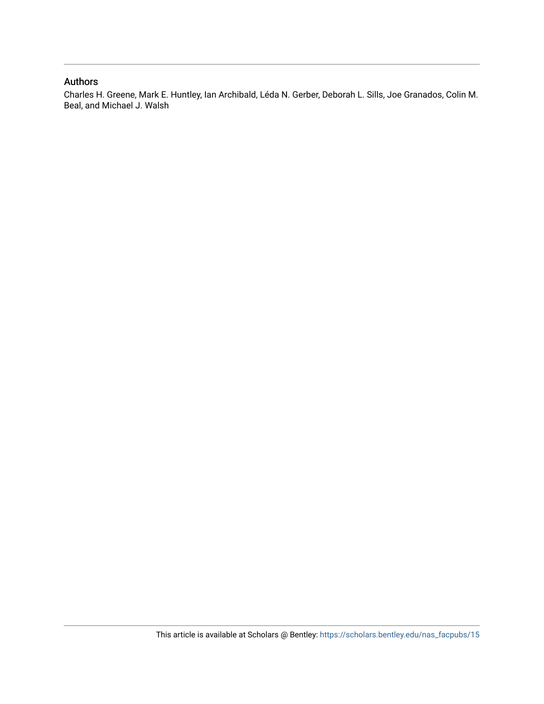# Authors

Charles H. Greene, Mark E. Huntley, Ian Archibald, Léda N. Gerber, Deborah L. Sills, Joe Granados, Colin M. Beal, and Michael J. Walsh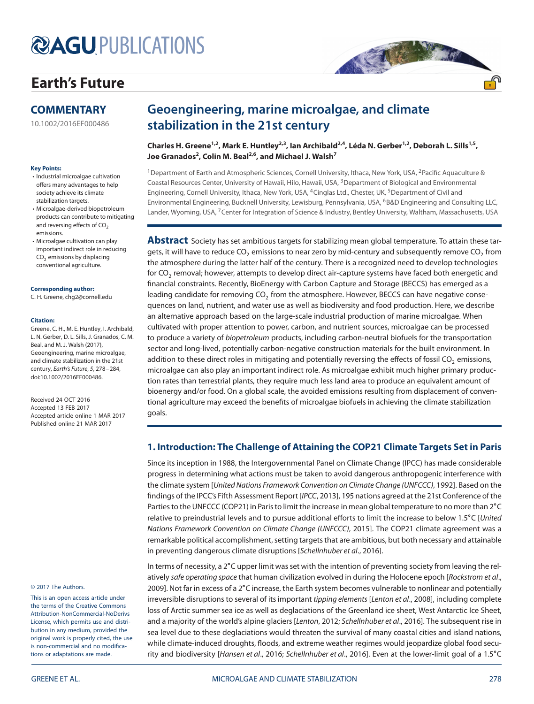# **@AGUPUBLICATIONS**

# **[Earth's Future](http://onlinelibrary.wiley.com/journal/10.1002/%28ISSN%292328-4277)**

# **COMMENTARY**

[10.1002/2016EF000486](http://dx.doi.org/10.1002/2016EF000486)

#### **Key Points:**

- Industrial microalgae cultivation offers many advantages to help society achieve its climate stabilization targets.
- Microalgae-derived biopetroleum products can contribute to mitigating and reversing effects of CO<sub>2</sub> emissions.
- Microalgae cultivation can play important indirect role in reducing  $CO<sub>2</sub>$  emissions by displacing conventional agriculture.

#### **Corresponding author:**

C. H. Greene, chg2@cornell.edu

#### **Citation:**

Greene, C. H., M. E. Huntley, I. Archibald, L. N. Gerber, D. L. Sills, J. Granados, C. M. Beal, and M. J. Walsh (2017), Geoengineering, marine microalgae, and climate stabilization in the 21st century, Earth's Future, 5, 278–284, doi[:10.1002/2016EF000486.](http://dx.doi.org/info:doi/10.1002/2016EF000486)

Received 24 OCT 2016 Accepted 13 FEB 2017 Accepted article online 1 MAR 2017 Published online 21 MAR 2017

#### © 2017 The Authors.

This is an open access article under the terms of the Creative Commons Attribution-NonCommercial-NoDerivs License, which permits use and distribution in any medium, provided the original work is properly cited, the use is non-commercial and no modifications or adaptations are made.

# **Geoengineering, marine microalgae, and climate stabilization in the 21st century**

**Charles H. Greene1,2, Mark E. Huntley2,3, Ian Archibald2,4, Léda N. Gerber1,2, Deborah L. Sills1,5, Joe Granados2 , Colin M. Beal2,6, and Michael J. Walsh7**

<sup>1</sup>Department of Earth and Atmospheric Sciences, Cornell University, Ithaca, New York, USA, <sup>2</sup>Pacific Aquaculture & Coastal Resources Center, University of Hawaii, Hilo, Hawaii, USA, 3Department of Biological and Environmental Engineering, Cornell University, Ithaca, New York, USA, <sup>4</sup>Cinglas Ltd., Chester, UK, <sup>5</sup>Department of Civil and Environmental Engineering, Bucknell University, Lewisburg, Pennsylvania, USA, <sup>6</sup>B&D Engineering and Consulting LLC, Lander, Wyoming, USA, 7Center for Integration of Science & Industry, Bentley University, Waltham, Massachusetts, USA

AR ANTE

**Abstract** Society has set ambitious targets for stabilizing mean global temperature. To attain these targets, it will have to reduce  $CO<sub>2</sub>$  emissions to near zero by mid-century and subsequently remove  $CO<sub>2</sub>$  from the atmosphere during the latter half of the century. There is a recognized need to develop technologies for CO<sub>2</sub> removal; however, attempts to develop direct air-capture systems have faced both energetic and financial constraints. Recently, BioEnergy with Carbon Capture and Storage (BECCS) has emerged as a leading candidate for removing CO<sub>2</sub> from the atmosphere. However, BECCS can have negative consequences on land, nutrient, and water use as well as biodiversity and food production. Here, we describe an alternative approach based on the large-scale industrial production of marine microalgae. When cultivated with proper attention to power, carbon, and nutrient sources, microalgae can be processed to produce a variety of biopetroleum products, including carbon-neutral biofuels for the transportation sector and long-lived, potentially carbon-negative construction materials for the built environment. In addition to these direct roles in mitigating and potentially reversing the effects of fossil CO<sub>2</sub> emissions, microalgae can also play an important indirect role. As microalgae exhibit much higher primary production rates than terrestrial plants, they require much less land area to produce an equivalent amount of bioenergy and/or food. On a global scale, the avoided emissions resulting from displacement of conventional agriculture may exceed the benefits of microalgae biofuels in achieving the climate stabilization goals.

### **1. Introduction: The Challenge of Attaining the COP21 Climate Targets Set in Paris**

Since its inception in 1988, the Intergovernmental Panel on Climate Change (IPCC) has made considerable progress in determining what actions must be taken to avoid dangerous anthropogenic interference with the climate system [United Nations Framework Convention on Climate Change (UNFCCC), 1992]. Based on the findings of the IPCC's Fifth Assessment Report [IPCC, 2013], 195 nations agreed at the 21st Conference of the Parties to the UNFCCC (COP21) in Paris to limit the increase in mean global temperature to no more than 2∘C relative to preindustrial levels and to pursue additional efforts to limit the increase to below 1.5∘C [United Nations Framework Convention on Climate Change (UNFCCC), 2015]. The COP21 climate agreement was a remarkable political accomplishment, setting targets that are ambitious, but both necessary and attainable in preventing dangerous climate disruptions [Schellnhuber et al., 2016].

In terms of necessity, a 2∘C upper limit was set with the intention of preventing society from leaving the relatively safe operating space that human civilization evolved in during the Holocene epoch [Rockstrom et al., 2009]. Not far in excess of a 2∘C increase, the Earth system becomes vulnerable to nonlinear and potentially irreversible disruptions to several of its important tipping elements [Lenton et al., 2008], including complete loss of Arctic summer sea ice as well as deglaciations of the Greenland ice sheet, West Antarctic Ice Sheet, and a majority of the world's alpine glaciers [Lenton, 2012; Schellnhuber et al., 2016]. The subsequent rise in sea level due to these deglaciations would threaten the survival of many coastal cities and island nations, while climate-induced droughts, floods, and extreme weather regimes would jeopardize global food security and biodiversity [Hansen et al., 2016; Schellnhuber et al., 2016]. Even at the lower-limit goal of a 1.5∘C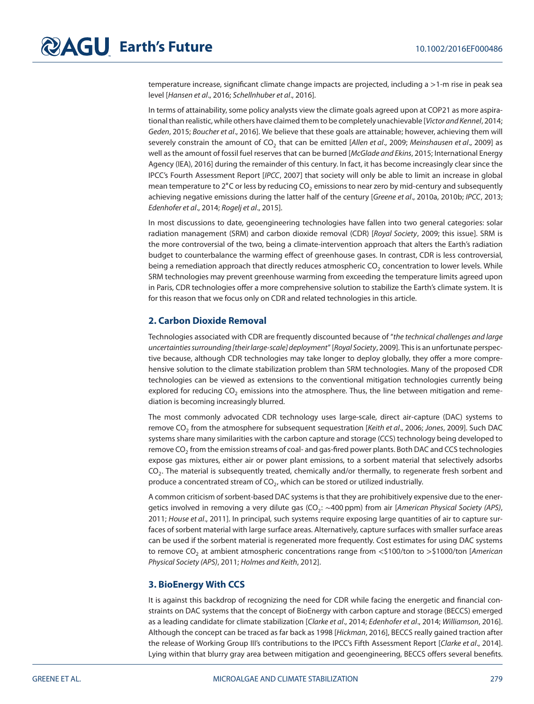temperature increase, significant climate change impacts are projected, including a *>*1-m rise in peak sea level [Hansen et al., 2016; Schellnhuber et al., 2016].

In terms of attainability, some policy analysts view the climate goals agreed upon at COP21 as more aspirational than realistic, while others have claimed them to be completely unachievable [Victor and Kennel, 2014; Geden, 2015; Boucher et al., 2016]. We believe that these goals are attainable; however, achieving them will severely constrain the amount of CO<sub>2</sub> that can be emitted [Allen et al., 2009; Meinshausen et al., 2009] as well as the amount of fossil fuel reserves that can be burned [McGlade and Ekins, 2015; International Energy Agency (IEA), 2016] during the remainder of this century. In fact, it has become increasingly clear since the IPCC's Fourth Assessment Report [IPCC, 2007] that society will only be able to limit an increase in global mean temperature to 2°C or less by reducing CO<sub>2</sub> emissions to near zero by mid-century and subsequently achieving negative emissions during the latter half of the century [Greene et al., 2010a, 2010b; IPCC, 2013; Edenhofer et al., 2014; Rogelj et al., 2015].

In most discussions to date, geoengineering technologies have fallen into two general categories: solar radiation management (SRM) and carbon dioxide removal (CDR) [Royal Society, 2009; this issue]. SRM is the more controversial of the two, being a climate-intervention approach that alters the Earth's radiation budget to counterbalance the warming effect of greenhouse gases. In contrast, CDR is less controversial, being a remediation approach that directly reduces atmospheric  $CO<sub>2</sub>$  concentration to lower levels. While SRM technologies may prevent greenhouse warming from exceeding the temperature limits agreed upon in Paris, CDR technologies offer a more comprehensive solution to stabilize the Earth's climate system. It is for this reason that we focus only on CDR and related technologies in this article.

### **2. Carbon Dioxide Removal**

Technologies associated with CDR are frequently discounted because of "the technical challenges and large uncertainties surrounding [their large-scale] deployment" [Royal Society, 2009]. This is an unfortunate perspective because, although CDR technologies may take longer to deploy globally, they offer a more comprehensive solution to the climate stabilization problem than SRM technologies. Many of the proposed CDR technologies can be viewed as extensions to the conventional mitigation technologies currently being explored for reducing  $CO<sub>2</sub>$  emissions into the atmosphere. Thus, the line between mitigation and remediation is becoming increasingly blurred.

The most commonly advocated CDR technology uses large-scale, direct air-capture (DAC) systems to remove CO<sub>2</sub> from the atmosphere for subsequent sequestration [Keith et al., 2006; Jones, 2009]. Such DAC systems share many similarities with the carbon capture and storage (CCS) technology being developed to remove CO<sub>2</sub> from the emission streams of coal- and gas-fired power plants. Both DAC and CCS technologies expose gas mixtures, either air or power plant emissions, to a sorbent material that selectively adsorbs CO<sub>2</sub>. The material is subsequently treated, chemically and/or thermally, to regenerate fresh sorbent and produce a concentrated stream of  $CO<sub>2</sub>$ , which can be stored or utilized industrially.

A common criticism of sorbent-based DAC systems is that they are prohibitively expensive due to the energetics involved in removing a very dilute gas (CO<sub>2</sub>: ~400 ppm) from air [American Physical Society (APS), 2011; House et al., 2011]. In principal, such systems require exposing large quantities of air to capture surfaces of sorbent material with large surface areas. Alternatively, capture surfaces with smaller surface areas can be used if the sorbent material is regenerated more frequently. Cost estimates for using DAC systems to remove CO<sub>2</sub> at ambient atmospheric concentrations range from <\$100/ton to >\$1000/ton [American] Physical Society (APS), 2011; Holmes and Keith, 2012].

### **3. BioEnergy With CCS**

It is against this backdrop of recognizing the need for CDR while facing the energetic and financial constraints on DAC systems that the concept of BioEnergy with carbon capture and storage (BECCS) emerged as a leading candidate for climate stabilization [Clarke et al., 2014; Edenhofer et al., 2014; Williamson, 2016]. Although the concept can be traced as far back as 1998 [Hickman, 2016], BECCS really gained traction after the release of Working Group III's contributions to the IPCC's Fifth Assessment Report [Clarke et al., 2014]. Lying within that blurry gray area between mitigation and geoengineering, BECCS offers several benefits.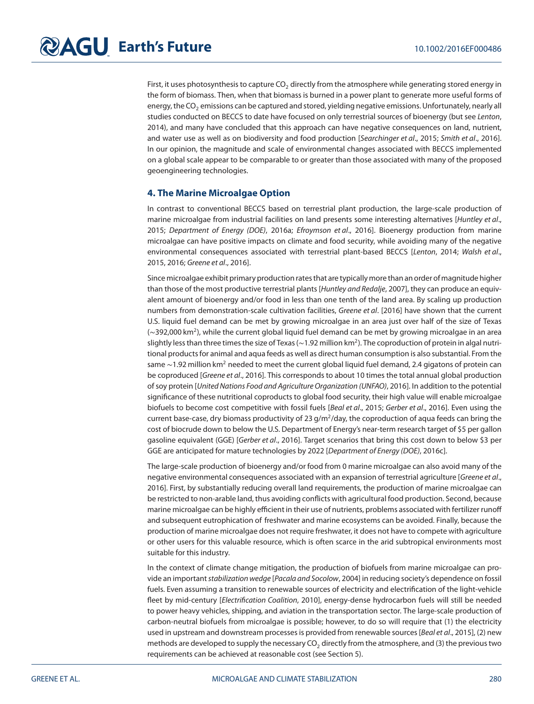First, it uses photosynthesis to capture  $CO<sub>2</sub>$  directly from the atmosphere while generating stored energy in the form of biomass. Then, when that biomass is burned in a power plant to generate more useful forms of energy, the CO<sub>2</sub> emissions can be captured and stored, yielding negative emissions. Unfortunately, nearly all studies conducted on BECCS to date have focused on only terrestrial sources of bioenergy (but see Lenton, 2014), and many have concluded that this approach can have negative consequences on land, nutrient, and water use as well as on biodiversity and food production [Searchinger et al., 2015; Smith et al., 2016]. In our opinion, the magnitude and scale of environmental changes associated with BECCS implemented on a global scale appear to be comparable to or greater than those associated with many of the proposed geoengineering technologies.

### **4. The Marine Microalgae Option**

In contrast to conventional BECCS based on terrestrial plant production, the large-scale production of marine microalgae from industrial facilities on land presents some interesting alternatives [Huntley et al., 2015; Department of Energy (DOE), 2016a; Efroymson et al., 2016]. Bioenergy production from marine microalgae can have positive impacts on climate and food security, while avoiding many of the negative environmental consequences associated with terrestrial plant-based BECCS [Lenton, 2014; Walsh et al., 2015, 2016; Greene et al., 2016].

Since microalgae exhibit primary production rates that are typically more than an order of magnitude higher than those of the most productive terrestrial plants [Huntley and Redalje, 2007], they can produce an equivalent amount of bioenergy and/or food in less than one tenth of the land area. By scaling up production numbers from demonstration-scale cultivation facilities, Greene et al. [2016] have shown that the current U.S. liquid fuel demand can be met by growing microalgae in an area just over half of the size of Texas (∼392,000 km2), while the current global liquid fuel demand can be met by growing microalgae in an area slightly less than three times the size of Texas (∼1.92 million km2). The coproduction of protein in algal nutritional products for animal and aqua feeds as well as direct human consumption is also substantial. From the same ~1.92 million km<sup>2</sup> needed to meet the current global liquid fuel demand, 2.4 gigatons of protein can be coproduced [Greene et al., 2016]. This corresponds to about 10 times the total annual global production of soy protein [United Nations Food and Agriculture Organization (UNFAO), 2016]. In addition to the potential significance of these nutritional coproducts to global food security, their high value will enable microalgae biofuels to become cost competitive with fossil fuels [Beal et al., 2015; Gerber et al., 2016]. Even using the current base-case, dry biomass productivity of 23  $g/m^2$ /day, the coproduction of aqua feeds can bring the cost of biocrude down to below the U.S. Department of Energy's near-term research target of \$5 per gallon gasoline equivalent (GGE) [Gerber et al., 2016]. Target scenarios that bring this cost down to below \$3 per GGE are anticipated for mature technologies by 2022 [Department of Energy (DOE), 2016c].

The large-scale production of bioenergy and/or food from 0 marine microalgae can also avoid many of the negative environmental consequences associated with an expansion of terrestrial agriculture [Greene et al., 2016]. First, by substantially reducing overall land requirements, the production of marine microalgae can be restricted to non-arable land, thus avoiding conflicts with agricultural food production. Second, because marine microalgae can be highly efficient in their use of nutrients, problems associated with fertilizer runoff and subsequent eutrophication of freshwater and marine ecosystems can be avoided. Finally, because the production of marine microalgae does not require freshwater, it does not have to compete with agriculture or other users for this valuable resource, which is often scarce in the arid subtropical environments most suitable for this industry.

In the context of climate change mitigation, the production of biofuels from marine microalgae can provide an important stabilization wedge [Pacala and Socolow, 2004] in reducing society's dependence on fossil fuels. Even assuming a transition to renewable sources of electricity and electrification of the light-vehicle fleet by mid-century [Electrification Coalition, 2010], energy-dense hydrocarbon fuels will still be needed to power heavy vehicles, shipping, and aviation in the transportation sector. The large-scale production of carbon-neutral biofuels from microalgae is possible; however, to do so will require that (1) the electricity used in upstream and downstream processes is provided from renewable sources [Beal et al., 2015], (2) new methods are developed to supply the necessary  $CO<sub>2</sub>$  directly from the atmosphere, and (3) the previous two requirements can be achieved at reasonable cost (see Section 5).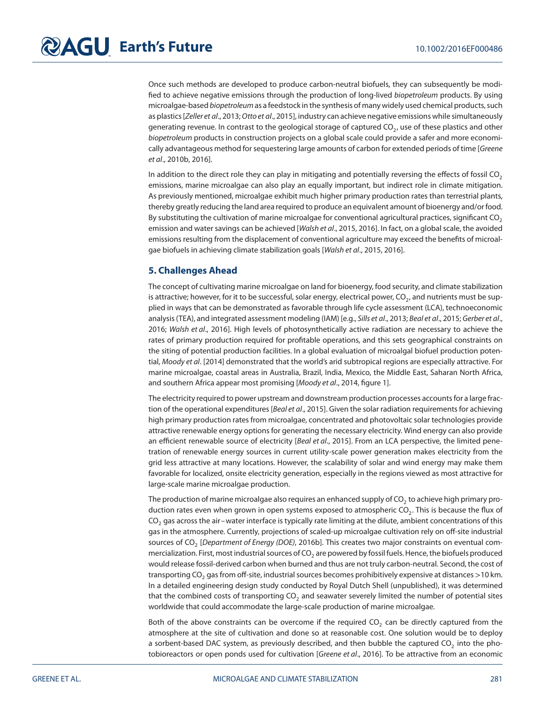Once such methods are developed to produce carbon-neutral biofuels, they can subsequently be modified to achieve negative emissions through the production of long-lived biopetroleum products. By using microalgae-based biopetroleum as a feedstock in the synthesis of many widely used chemical products, such as plastics [Zeller et al., 2013; Otto et al., 2015], industry can achieve negative emissions while simultaneously generating revenue. In contrast to the geological storage of captured CO<sub>2</sub>, use of these plastics and other biopetroleum products in construction projects on a global scale could provide a safer and more economically advantageous method for sequestering large amounts of carbon for extended periods of time [Greene et al., 2010b, 2016].

In addition to the direct role they can play in mitigating and potentially reversing the effects of fossil  $CO<sub>2</sub>$ emissions, marine microalgae can also play an equally important, but indirect role in climate mitigation. As previously mentioned, microalgae exhibit much higher primary production rates than terrestrial plants, thereby greatly reducing the land area required to produce an equivalent amount of bioenergy and/or food. By substituting the cultivation of marine microalgae for conventional agricultural practices, significant  $CO<sub>2</sub>$ emission and water savings can be achieved [Walsh et al., 2015, 2016]. In fact, on a global scale, the avoided emissions resulting from the displacement of conventional agriculture may exceed the benefits of microalgae biofuels in achieving climate stabilization goals [Walsh et al., 2015, 2016].

## **5. Challenges Ahead**

The concept of cultivating marine microalgae on land for bioenergy, food security, and climate stabilization is attractive; however, for it to be successful, solar energy, electrical power,  $CO<sub>2</sub>$ , and nutrients must be supplied in ways that can be demonstrated as favorable through life cycle assessment (LCA), technoeconomic analysis (TEA), and integrated assessment modeling (IAM) [e.g., Sills et al., 2013; Beal et al., 2015; Gerber et al., 2016; Walsh et al., 2016]. High levels of photosynthetically active radiation are necessary to achieve the rates of primary production required for profitable operations, and this sets geographical constraints on the siting of potential production facilities. In a global evaluation of microalgal biofuel production potential, Moody et al. [2014] demonstrated that the world's arid subtropical regions are especially attractive. For marine microalgae, coastal areas in Australia, Brazil, India, Mexico, the Middle East, Saharan North Africa, and southern Africa appear most promising [Moody et al., 2014, figure 1].

The electricity required to power upstream and downstream production processes accounts for a large fraction of the operational expenditures [Beal et al., 2015]. Given the solar radiation requirements for achieving high primary production rates from microalgae, concentrated and photovoltaic solar technologies provide attractive renewable energy options for generating the necessary electricity. Wind energy can also provide an efficient renewable source of electricity [Beal et al., 2015]. From an LCA perspective, the limited penetration of renewable energy sources in current utility-scale power generation makes electricity from the grid less attractive at many locations. However, the scalability of solar and wind energy may make them favorable for localized, onsite electricity generation, especially in the regions viewed as most attractive for large-scale marine microalgae production.

The production of marine microalgae also requires an enhanced supply of  $CO<sub>2</sub>$  to achieve high primary production rates even when grown in open systems exposed to atmospheric  $CO<sub>2</sub>$ . This is because the flux of CO<sub>2</sub> gas across the air–water interface is typically rate limiting at the dilute, ambient concentrations of this gas in the atmosphere. Currently, projections of scaled-up microalgae cultivation rely on off-site industrial sources of CO<sub>2</sub> [Department of Energy (DOE), 2016b]. This creates two major constraints on eventual commercialization. First, most industrial sources of CO<sub>2</sub> are powered by fossil fuels. Hence, the biofuels produced would release fossil-derived carbon when burned and thus are not truly carbon-neutral. Second, the cost of transporting CO<sub>2</sub> gas from off-site, industrial sources becomes prohibitively expensive at distances >10 km. In a detailed engineering design study conducted by Royal Dutch Shell (unpublished), it was determined that the combined costs of transporting CO<sub>2</sub> and seawater severely limited the number of potential sites worldwide that could accommodate the large-scale production of marine microalgae.

Both of the above constraints can be overcome if the required  $CO<sub>2</sub>$  can be directly captured from the atmosphere at the site of cultivation and done so at reasonable cost. One solution would be to deploy a sorbent-based DAC system, as previously described, and then bubble the captured  $CO<sub>2</sub>$  into the photobioreactors or open ponds used for cultivation [Greene et al., 2016]. To be attractive from an economic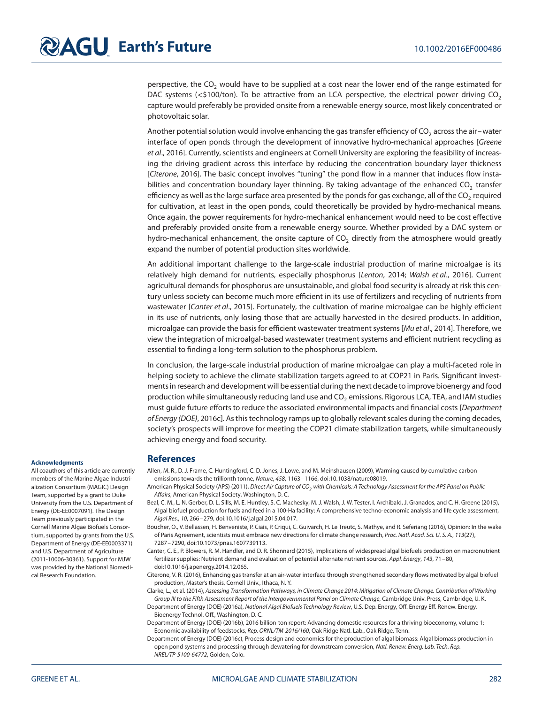perspective, the  $CO<sub>2</sub>$  would have to be supplied at a cost near the lower end of the range estimated for DAC systems (<\$100/ton). To be attractive from an LCA perspective, the electrical power driving CO<sub>2</sub> capture would preferably be provided onsite from a renewable energy source, most likely concentrated or photovoltaic solar.

Another potential solution would involve enhancing the gas transfer efficiency of CO<sub>2</sub> across the air–water interface of open ponds through the development of innovative hydro-mechanical approaches [Greene et al., 2016]. Currently, scientists and engineers at Cornell University are exploring the feasibility of increasing the driving gradient across this interface by reducing the concentration boundary layer thickness [Citerone, 2016]. The basic concept involves "tuning" the pond flow in a manner that induces flow instabilities and concentration boundary layer thinning. By taking advantage of the enhanced  $CO<sub>2</sub>$  transfer efficiency as well as the large surface area presented by the ponds for gas exchange, all of the  $CO<sub>2</sub>$  required for cultivation, at least in the open ponds, could theoretically be provided by hydro-mechanical means. Once again, the power requirements for hydro-mechanical enhancement would need to be cost effective and preferably provided onsite from a renewable energy source. Whether provided by a DAC system or hydro-mechanical enhancement, the onsite capture of  $CO<sub>2</sub>$  directly from the atmosphere would greatly expand the number of potential production sites worldwide.

An additional important challenge to the large-scale industrial production of marine microalgae is its relatively high demand for nutrients, especially phosphorus [Lenton, 2014; Walsh et al., 2016]. Current agricultural demands for phosphorus are unsustainable, and global food security is already at risk this century unless society can become much more efficient in its use of fertilizers and recycling of nutrients from wastewater [Canter et al., 2015]. Fortunately, the cultivation of marine microalgae can be highly efficient in its use of nutrients, only losing those that are actually harvested in the desired products. In addition, microalgae can provide the basis for efficient wastewater treatment systems [Mu et al., 2014]. Therefore, we view the integration of microalgal-based wastewater treatment systems and efficient nutrient recycling as essential to finding a long-term solution to the phosphorus problem.

In conclusion, the large-scale industrial production of marine microalgae can play a multi-faceted role in helping society to achieve the climate stabilization targets agreed to at COP21 in Paris. Significant investments in research and development will be essential during the next decade to improve bioenergy and food production while simultaneously reducing land use and  $CO<sub>2</sub>$  emissions. Rigorous LCA, TEA, and IAM studies must guide future efforts to reduce the associated environmental impacts and financial costs [Department of Energy (DOE), 2016c]. As this technology ramps up to globally relevant scales during the coming decades, society's prospects will improve for meeting the COP21 climate stabilization targets, while simultaneously achieving energy and food security.

#### **Acknowledgments**

All coauthors of this article are currently members of the Marine Algae Industrialization Consortium (MAGIC) Design Team, supported by a grant to Duke University from the U.S. Department of Energy (DE-EE0007091). The Design Team previously participated in the Cornell Marine Algae Biofuels Consortium, supported by grants from the U.S. Department of Energy (DE-EE0003371) and U.S. Department of Agriculture (2011-10006-30361). Support for MJW was provided by the National Biomedical Research Foundation.

#### **References**

Allen, M. R., D. J. Frame, C. Huntingford, C. D. Jones, J. Lowe, and M. Meinshausen (2009), Warming caused by cumulative carbon emissions towards the trillionth tonne, Nature, 458, 1163–1166, doi[:10.1038/nature08019.](http://dx.doi.org/info:doi/10.1038/nature08019)

- American Physical Society (APS) (2011), Direct Air Capture of CO<sub>2</sub> with Chemicals: A Technology Assessment for the APS Panel on Public Affairs, American Physical Society, Washington, D. C.
- Beal, C. M., L. N. Gerber, D. L. Sills, M. E. Huntley, S. C. Machesky, M. J. Walsh, J. W. Tester, I. Archibald, J. Granados, and C. H. Greene (2015), Algal biofuel production for fuels and feed in a 100-Ha facility: A comprehensive techno-economic analysis and life cycle assessment, Algal Res., 10, 266–279, doi[:10.1016/j.algal.2015.04.017.](http://dx.doi.org/info:doi/10.1016/j.algal.2015.04.017)
- Boucher, O., V. Bellassen, H. Benveniste, P. Ciais, P. Criqui, C. Guivarch, H. Le Treutc, S. Mathye, and R. Seferiang (2016), Opinion: In the wake of Paris Agreement, scientists must embrace new directions for climate change research, Proc. Natl. Acad. Sci. U. S. A., 113(27), 7287–7290, doi[:10.1073/pnas.1607739113.](http://dx.doi.org/info:doi/10.1073/pnas.1607739113)
- Canter, C. E., P. Blowers, R. M. Handler, and D. R. Shonnard (2015), Implications of widespread algal biofuels production on macronutrient fertilizer supplies: Nutrient demand and evaluation of potential alternate nutrient sources, Appl. Energy, 143, 71–80, do[i:10.1016/j.apenergy.2014.12.065.](http://dx.doi.org/info:doi/10.1016/j.apenergy.2014.12.065)
- Citerone, V. R. (2016), Enhancing gas transfer at an air-water interface through strengthened secondary flows motivated by algal biofuel production, Master's thesis, Cornell Univ., Ithaca, N. Y.
- Clarke, L., et al. (2014), Assessing Transformation Pathways, in Climate Change 2014: Mitigation of Climate Change. Contribution of Working Group III to the Fifth Assessment Report of the Intergovernmental Panel on Climate Change, Cambridge Univ. Press, Cambridge, U. K.
- Department of Energy (DOE) (2016a), National Algal Biofuels Technology Review, U.S. Dep. Energy, Off. Energy Eff. Renew. Energy, Bioenergy Technol. Off., Washington, D. C.
- Department of Energy (DOE) (2016b), 2016 billion-ton report: Advancing domestic resources for a thriving bioeconomy, volume 1: Economic availability of feedstocks, Rep. ORNL/TM-2016/160, Oak Ridge Natl. Lab., Oak Ridge, Tenn.
- Department of Energy (DOE) (2016c), Process design and economics for the production of algal biomass: Algal biomass production in open pond systems and processing through dewatering for downstream conversion, Natl. Renew. Energ. Lab. Tech. Rep. NREL/TP-5100-64772, Golden, Colo.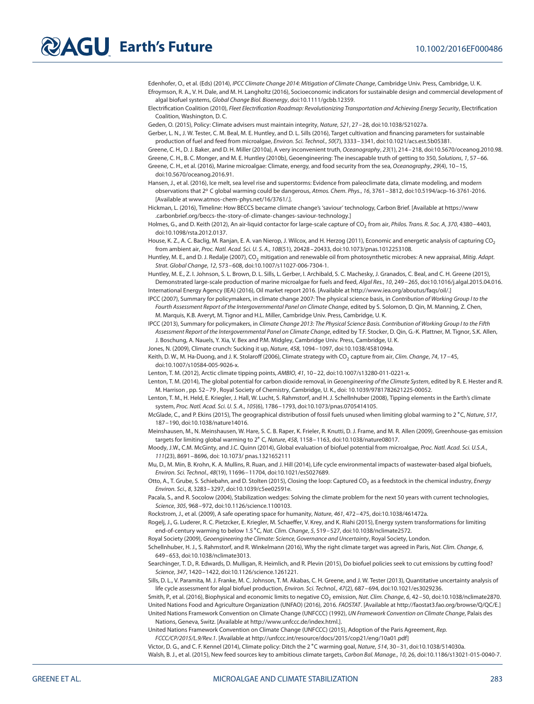# **Earth's Future** 10.1002/2016EF000486

Edenhofer, O., et al. (Eds) (2014), IPCC Climate Change 2014: Mitigation of Climate Change, Cambridge Univ. Press, Cambridge, U. K. Efroymson, R. A., V. H. Dale, and M. H. Langholtz (2016), Socioeconomic indicators for sustainable design and commercial development of algal biofuel systems, Global Change Biol. Bioenergy, doi[:10.1111/gcbb.12359.](http://dx.doi.org/info:doi/10.1111/gcbb.12359)

Electrification Coalition (2010), Fleet Electrification Roadmap: Revolutionizing Transportation and Achieving Energy Security, Electrification Coalition, Washington, D. C.

Geden, O. (2015), Policy: Climate advisers must maintain integrity, Nature, 521, 27–28, doi[:10.1038/521027a.](http://dx.doi.org/info:doi/10.1038/521027a)

Gerber, L. N., J. W. Tester, C. M. Beal, M. E. Huntley, and D. L. Sills (2016), Target cultivation and financing parameters for sustainable production of fuel and feed from microalgae, Environ. Sci. Technol., 50(7), 3333-3341, do[i:10.1021/acs.est.5b05381.](http://dx.doi.org/info:doi/10.1021/acs.est.5b05381)

Greene, C. H., D. J. Baker, and D. H. Miller (2010a), A very inconvenient truth, Oceanography, 23(1), 214–218, doi[:10.5670/oceanog.2010.98.](http://dx.doi.org/info:doi/10.5670/oceanog.2010.98) Greene, C. H., B. C. Monger, and M. E. Huntley (2010b), Geoengineering: The inescapable truth of getting to 350, Solutions, 1, 57–66.

Greene, C. H., et al. (2016), Marine microalgae: Climate, energy, and food security from the sea, Oceanography, 29(4), 10-15, doi[:10.5670/oceanog.2016.91.](http://dx.doi.org/info:doi/10.5670/oceanog.2016.91)

Hansen, J., et al. (2016), Ice melt, sea level rise and superstorms: Evidence from paleoclimate data, climate modeling, and modern observations that 2° C global warming could be dangerous, Atmos. Chem. Phys., 16, 3761-3812, doi[:10.5194/acp-16-3761-2016.](http://dx.doi.org/info:doi/10.5194/acp-16-3761-2016) [Available at [www.atmos-chem-phys.net/16/3761/.](http://www.atmos-chem-phys.net/16/3761/)].

Hickman, L. (2016), Timeline: How BECCS became climate change's 'saviour' technology, Carbon Brief. [Available at [https://www](https://www.carbonbrief.org/beccs-the-story-of-climate-changes-saviour-technology) [.carbonbrief.org/beccs-the-story-of-climate-changes-saviour-technology.](https://www.carbonbrief.org/beccs-the-story-of-climate-changes-saviour-technology)]

Holmes, G., and D. Keith (2012), An air-liquid contactor for large-scale capture of CO<sub>2</sub> from air, Philos. Trans. R. Soc. A, 370, 4380-4403, doi[:10.1098/rsta.2012.0137.](http://dx.doi.org/info:doi/10.1098/rsta.2012.0137)

House, K. Z., A. C. Baclig, M. Ranjan, E. A. van Nierop, J. Wilcox, and H. Herzog (2011), Economic and energetic analysis of capturing CO<sub>2</sub> from ambient air, Proc. Natl. Acad. Sci. U. S. A., 108(51), 20428–20433, doi[:10.1073/pnas.1012253108.](http://dx.doi.org/info:doi/10.1073/pnas.1012253108)

Huntley, M. E., and D. J. Redalje (2007), CO<sub>2</sub> mitigation and renewable oil from photosynthetic microbes: A new appraisal, Mitig. Adapt. Strat. Global Change, 12, 573–608, doi[:10.1007/s11027-006-7304-1.](http://dx.doi.org/info:doi/10.1007/s11027-006-7304-1)

Huntley, M. E., Z. I. Johnson, S. L. Brown, D. L. Sills, L. Gerber, I. Archibald, S. C. Machesky, J. Granados, C. Beal, and C. H. Greene (2015), Demonstrated large-scale production of marine microalgae for fuels and feed, Algal Res., 10, 249–265, doi[:10.1016/j.algal.2015.04.016.](http://dx.doi.org/info:doi/10.1016/j.algal.2015.04.016) International Energy Agency (IEA) (2016), Oil market report 2016. [Available at [http://www.iea.org/aboutus/faqs/oil/.](http://www.iea.org/aboutus/faqs/oil/)]

IPCC (2007), Summary for policymakers, in climate change 2007: The physical science basis, in Contribution of Working Group I to the Fourth Assessment Report of the Intergovernmental Panel on Climate Change, edited by S. Solomon, D. Qin, M. Manning, Z. Chen, M. Marquis, K.B. Averyt, M. Tignor and H.L. Miller, Cambridge Univ. Press, Cambridge, U. K.

IPCC (2013), Summary for policymakers, in Climate Change 2013: The Physical Science Basis. Contribution of Working Group I to the Fifth Assessment Report of the Intergovernmental Panel on Climate Change, edited by T.F. Stocker, D. Qin, G.-K. Plattner, M. Tignor, S.K. Allen, J. Boschung, A. Nauels, Y. Xia, V. Bex and P.M. Midgley, Cambridge Univ. Press, Cambridge, U. K.

Jones, N. (2009), Climate crunch: Sucking it up, Nature, 458, 1094–1097, doi[:10.1038/4581094a.](http://dx.doi.org/info:doi/10.1038/4581094a)

Keith, D. W., M. Ha-Duong, and J. K. Stolaroff (2006), Climate strategy with CO<sub>2</sub> capture from air, Clim. Change, 74, 17-45, doi[:10.1007/s10584-005-9026-x.](http://dx.doi.org/info:doi/10.1007/s10584-005-9026-x)

Lenton, T. M. (2012), Arctic climate tipping points, AMBIO, 41, 10–22, doi[:10.1007/s13280-011-0221-x.](http://dx.doi.org/info:doi/10.1007/s13280-011-0221-x)

Lenton, T. M. (2014), The global potential for carbon dioxide removal, in Geoengineering of the Climate System, edited by R. E. Hester and R. M. Harrison , pp. 52–79 , Royal Society of Chemistry, Cambridge, U. K., doi: [10.1039/9781782621225-00052.](http://dx.doi.org/info:doi/10.1039/9781782621225-00052)

Lenton, T. M., H. Held, E. Kriegler, J. Hall, W. Lucht, S. Rahmstorf, and H. J. Schellnhuber (2008), Tipping elements in the Earth's climate system, Proc. Natl. Acad. Sci. U. S. A., 105(6), 1786–1793, doi[:10.1073/pnas.0705414105.](http://dx.doi.org/info:doi/10.1073/pnas.0705414105)

McGlade, C., and P. Ekins (2015), The geographical distribution of fossil fuels unused when limiting global warming to 2 ∘C, Nature, 517, 187–190, doi[:10.1038/nature14016.](http://dx.doi.org/info:doi/10.1038/nature14016)

Meinshausen, M., N. Meinshausen, W. Hare, S. C. B. Raper, K. Frieler, R. Knutti, D. J. Frame, and M. R. Allen (2009), Greenhouse-gas emission targets for limiting global warming to 2° C, Nature, 458, 1158-1163, doi[:10.1038/nature08017.](http://dx.doi.org/info:doi/10.1038/nature08017)

Moody, J.W., C.M. McGinty, and J.C. Quinn (2014), Global evaluation of biofuel potential from microalgae, Proc. Natl. Acad. Sci. U.S.A., 111(23), 8691–8696, doi: [10.1073/ pnas.1321652111](http://dx.doi.org/info:doi/10.1073/pnas.1321652111)

Mu, D., M. Min, B. Krohn, K. A. Mullins, R. Ruan, and J. Hill (2014), Life cycle environmental impacts of wastewater-based algal biofuels, Environ. Sci. Technol., 48(19), 11696–11704, doi[:10.1021/es5027689.](http://dx.doi.org/info:doi/10.1021/es5027689)

Otto, A., T. Grube, S. Schiebahn, and D. Stolten (2015), Closing the loop: Captured CO<sub>2</sub> as a feedstock in the chemical industry, Energy Environ. Sci., 8, 3283–3297, doi[:10.1039/c5ee02591e.](http://dx.doi.org/info:doi/10.1039/c5ee02591e)

Pacala, S., and R. Socolow (2004), Stabilization wedges: Solving the climate problem for the next 50 years with current technologies, Science, 305, 968–972, doi[:10.1126/science.1100103.](http://dx.doi.org/info:doi/10.1126/science.1100103)

Rockstrom, J., et al. (2009), A safe operating space for humanity, Nature, 461, 472–475, doi[:10.1038/461472a.](http://dx.doi.org/info:doi/10.1038/461472a)

Rogelj, J., G. Luderer, R. C. Pietzcker, E. Kriegler, M. Schaeffer, V. Krey, and K. Riahi (2015), Energy system transformations for limiting end-of-century warming to below 1.5 ∘C, Nat. Clim. Change, 5, 519–527, doi[:10.1038/nclimate2572.](http://dx.doi.org/info:doi/10.1038/nclimate2572)

Royal Society (2009), Geoengineering the Climate: Science, Governance and Uncertainty, Royal Society, London.

Schellnhuber, H. J., S. Rahmstorf, and R. Winkelmann (2016), Why the right climate target was agreed in Paris, Nat. Clim. Change, 6, 649–653, doi[:10.1038/nclimate3013.](http://dx.doi.org/info:doi/10.1038/nclimate3013)

Searchinger, T. D., R. Edwards, D. Mulligan, R. Heimlich, and R. Plevin (2015), Do biofuel policies seek to cut emissions by cutting food? Science, 347, 1420–1422, doi[:10.1126/science.1261221.](http://dx.doi.org/info:doi/10.1126/science.1261221)

Sills, D. L., V. Paramita, M. J. Franke, M. C. Johnson, T. M. Akabas, C. H. Greene, and J. W. Tester (2013), Quantitative uncertainty analysis of life cycle assessment for algal biofuel production, Environ. Sci. Technol., 47(2), 687–694, doi[:10.1021/es3029236.](http://dx.doi.org/info:doi/10.1021/es3029236)

Smith, P., et al. (2016), Biophysical and economic limits to negative CO<sub>2</sub> emission, Nat. Clim. Change, 6, 42-50, doi[:10.1038/nclimate2870.](http://dx.doi.org/info:doi/10.1038/nclimate2870) United Nations Food and Agriculture Organization (UNFAO) (2016), 2016. FAOSTAT. [Available a[t http://faostat3.fao.org/browse/Q/QC/E.](http://faostat3.fao.org/browse/Q/QC/E)] United Nations Framework Convention on Climate Change (UNFCCC) (1992), UN Framework Convention on Climate Change, Palais des Nations, Geneva, Switz. [Available at [http://www.unfccc.de/index.html.\]](http://www.unfccc.de/index.html).

United Nations Framework Convention on Climate Change (UNFCCC) (2015), Adoption of the Paris Agreement, Rep.

FCCC/CP/2015/L.9/Rev.1. [Available at [http://unfccc.int/resource/docs/2015/cop21/eng/10a01.pdf\]](http://unfccc.int/resource/docs/2015/cop21/eng/10a01.pdf)

Victor, D. G., and C. F. Kennel (2014), Climate policy: Ditch the 2 ∘C warming goal, Nature, 514, 30–31, doi[:10.1038/514030a.](http://dx.doi.org/info:doi/10.1038/514030a) Walsh, B. J., et al. (2015), New feed sources key to ambitious climate targets, Carbon Bal. Manage., 10, 26, doi[:10.1186/s13021-015-0040-7.](http://dx.doi.org/info:doi/10.1186/s13021-015-0040-7)